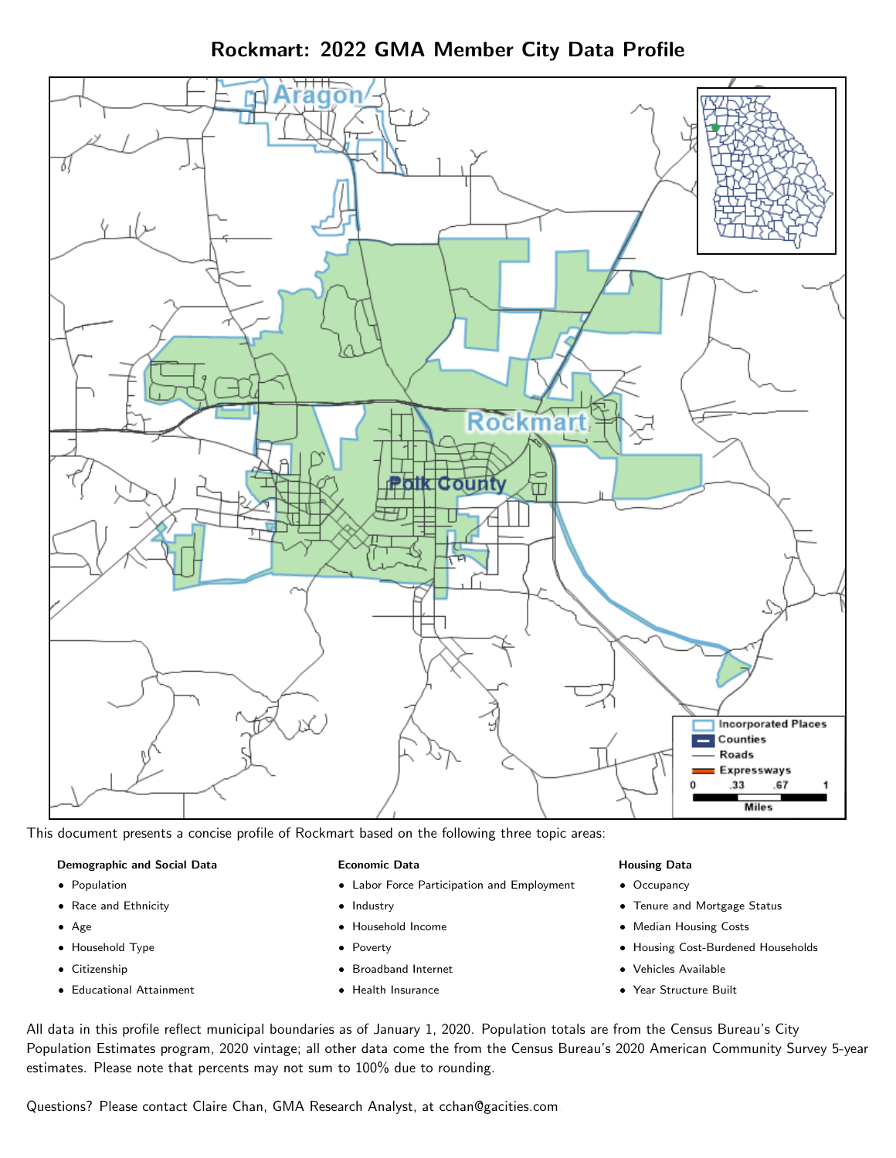Rockmart: 2022 GMA Member City Data Profile



This document presents a concise profile of Rockmart based on the following three topic areas:

#### Demographic and Social Data

- **•** Population
- Race and Ethnicity
- Age
- Household Type
- **Citizenship**
- Educational Attainment

#### Economic Data

- Labor Force Participation and Employment
- Industry
- Household Income
- Poverty
- Broadband Internet
- Health Insurance

#### Housing Data

- Occupancy
- Tenure and Mortgage Status
- Median Housing Costs
- Housing Cost-Burdened Households
- Vehicles Available
- Year Structure Built

All data in this profile reflect municipal boundaries as of January 1, 2020. Population totals are from the Census Bureau's City Population Estimates program, 2020 vintage; all other data come the from the Census Bureau's 2020 American Community Survey 5-year estimates. Please note that percents may not sum to 100% due to rounding.

Questions? Please contact Claire Chan, GMA Research Analyst, at [cchan@gacities.com.](mailto:cchan@gacities.com)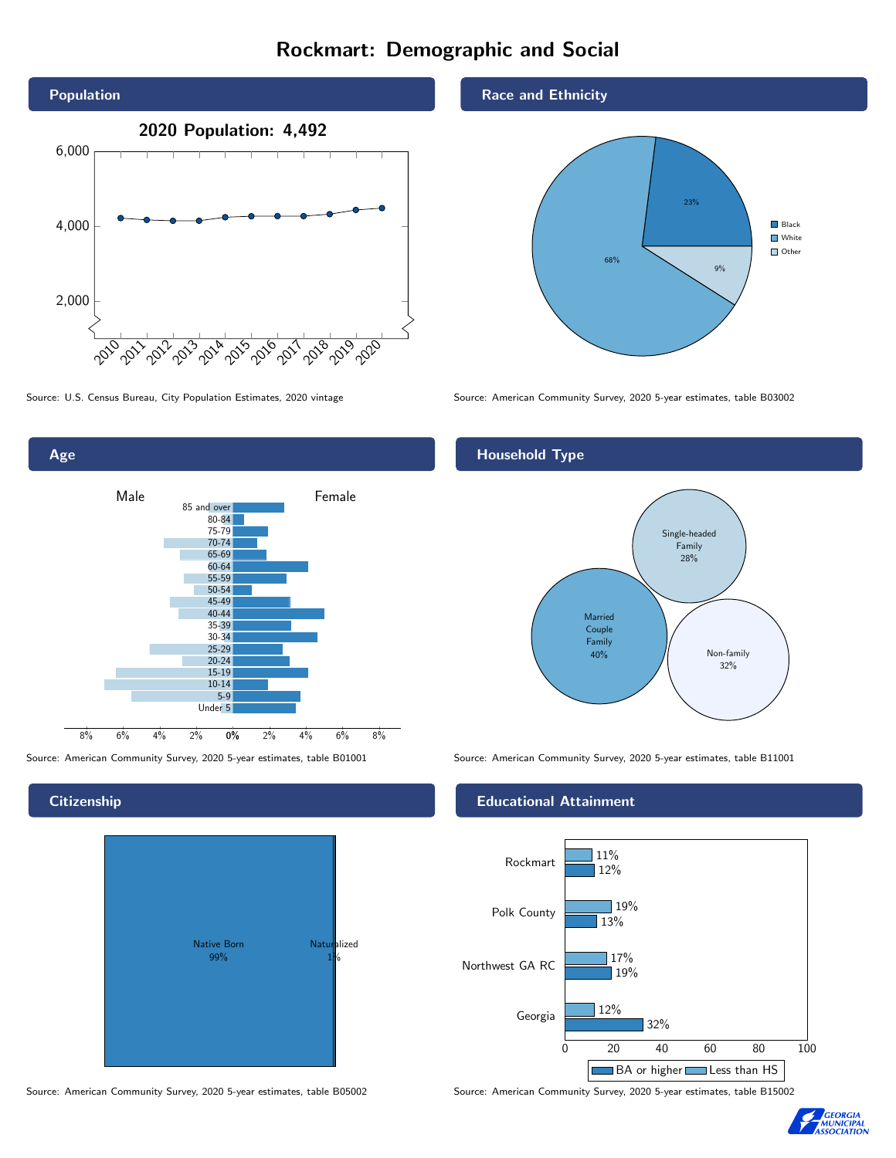# Rockmart: Demographic and Social



0% 2% 4% 6% 8% Male <u>John Halle</u> Female 8% 6% 4% 2% 85 and over 80-84 75-79 70-74 65-69 60-64 55-59 50-54 45-49 40-44 35-39 30-34 25-29 20-24 15-19 10-14 5-9 Under 5

#### **Citizenship**

Age



Source: American Community Survey, 2020 5-year estimates, table B05002 Source: American Community Survey, 2020 5-year estimates, table B15002

Race and Ethnicity



Source: U.S. Census Bureau, City Population Estimates, 2020 vintage Source: American Community Survey, 2020 5-year estimates, table B03002

## Household Type



Source: American Community Survey, 2020 5-year estimates, table B01001 Source: American Community Survey, 2020 5-year estimates, table B11001

#### Educational Attainment



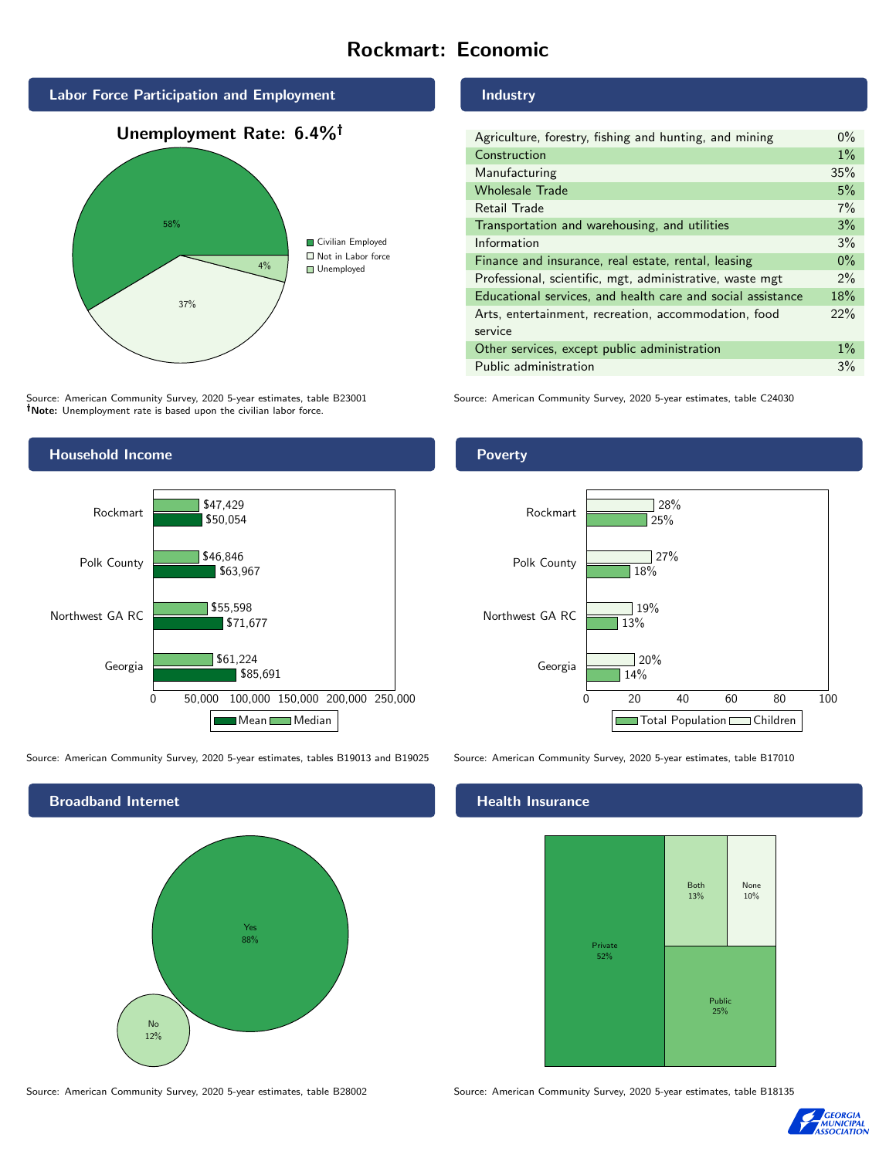## Rockmart: Economic



Source: American Community Survey, 2020 5-year estimates, table B23001 Note: Unemployment rate is based upon the civilian labor force.

#### Industry

| Agriculture, forestry, fishing and hunting, and mining      | $0\%$ |
|-------------------------------------------------------------|-------|
| Construction                                                | $1\%$ |
| Manufacturing                                               | 35%   |
| <b>Wholesale Trade</b>                                      | 5%    |
| Retail Trade                                                | 7%    |
| Transportation and warehousing, and utilities               | 3%    |
| Information                                                 | 3%    |
| Finance and insurance, real estate, rental, leasing         | $0\%$ |
| Professional, scientific, mgt, administrative, waste mgt    | $2\%$ |
| Educational services, and health care and social assistance | 18%   |
| Arts, entertainment, recreation, accommodation, food        | 22%   |
| service                                                     |       |
| Other services, except public administration                | $1\%$ |
| Public administration                                       | 3%    |

Source: American Community Survey, 2020 5-year estimates, table C24030



Source: American Community Survey, 2020 5-year estimates, tables B19013 and B19025 Source: American Community Survey, 2020 5-year estimates, table B17010



Poverty



#### Health Insurance



Source: American Community Survey, 2020 5-year estimates, table B28002 Source: American Community Survey, 2020 5-year estimates, table B18135